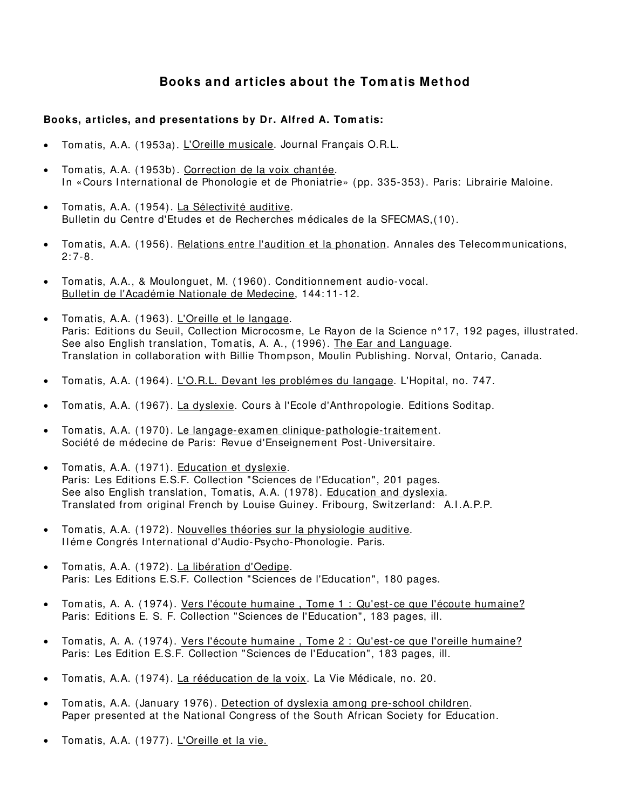# **Books and articles about the Tom atis Method**

# **Books, articles, and presentations by Dr. Alfred A. Tom atis:**

- Tomatis, A.A. (1953a). L'Oreille musicale. Journal Français O.R.L.
- Tom atis, A.A. (1953b). Correction de la voix chantée. In «Cours International de Phonologie et de Phoniatrie» (pp. 335-353). Paris: Librairie Maloine.
- Tom atis, A.A. (1954). La Sélectivité auditive. Bulletin du Centre d'Etudes et de Recherches médicales de la SFECMAS,(10).
- Tom atis, A.A. (1956). Relations entre l'audition et la phonation. Annales des Telecommunications,  $2.7 - 8$
- Tom atis, A.A., & Moulonguet, M. (1960). Conditionnem ent audio-vocal. Bulletin de l'Académie Nationale de Medecine, 144: 11-12.
- Tomatis, A.A. (1963). L'Oreille et le langage. Paris: Editions du Seuil, Collection Microcosme, Le Rayon de la Science n° 17, 192 pages, illustrated. See also English translation, Tom atis, A. A., (1996). The Ear and Language. Translation in collaboration with Billie Thompson, Moulin Publishing. Norval, Ontario, Canada.
- Tom atis, A.A. (1964). L'O.R.L. Devant les problémes du langage. L'Hopital, no. 747.
- Tom atis, A.A. (1967). La dyslexie. Cours à l'Ecole d'Anthropologie. Editions Soditap.
- Tom atis, A.A. (1970). Le langage-examen clinique-pathologie-traitem ent. Société de médecine de Paris: Revue d'Enseignem ent Post-Universitaire.
- Tom atis, A.A. (1971). Education et dyslexie. Paris: Les Editions E.S.F. Collection "Sciences de l'Education", 201 pages. See also English translation, Tomatis, A.A. (1978). Education and dyslexia. Translated from original French by Louise Guiney. Fribourg, Switzerland: A.I .A.P.P.
- Tom atis, A.A. (1972). Nouvelles théories sur la physiologie auditive. I léme Congrés International d'Audio-Psycho-Phonologie. Paris.
- Tom atis, A.A. (1972). La libération d'Oedipe. Paris: Les Editions E.S.F. Collection "Sciences de l'Education", 180 pages.
- Tom atis, A. A. (1974). Vers l'écoute humaine , Tome 1 : Qu'est-ce que l'écoute humaine? Paris: Editions E. S. F. Collection "Sciences de l'Education", 183 pages, ill.
- Tom atis, A. A. (1974). Vers l'écoute hum aine , Tom e 2 : Qu'est-ce que l'oreille hum aine? Paris: Les Edition E.S.F. Collection "Sciences de l'Education", 183 pages, ill.
- Tom atis, A.A. (1974). La rééducation de la voix. La Vie Médicale, no. 20.
- Tom atis, A.A. (January 1976). Detection of dyslexia among pre-school children. Paper presented at the National Congress of the South African Society for Education.
- Tom atis, A.A. (1977). L'Oreille et la vie.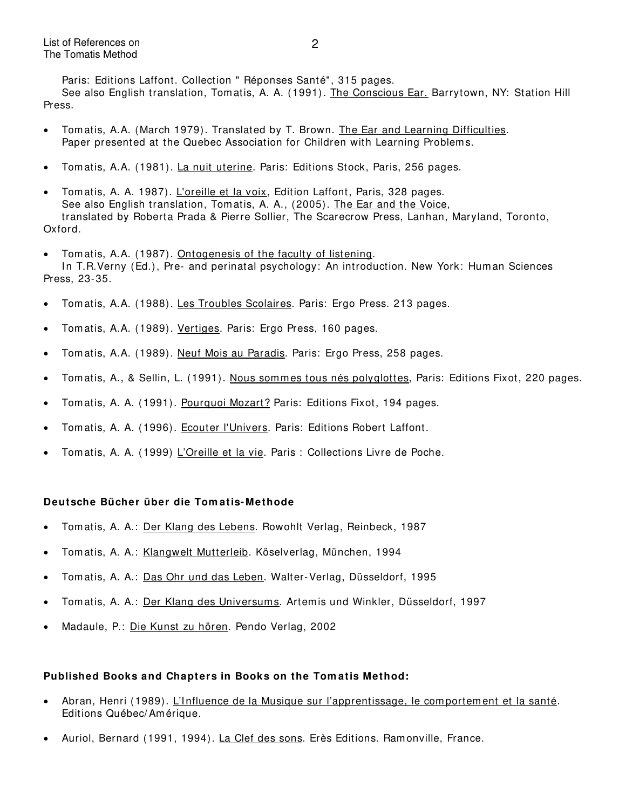Paris: Editions Laffont. Collection " Réponses Santé", 315 pages. See also English translation, Tomatis, A. A. (1991). The Conscious Ear. Barrytown, NY: Station Hill Press.

- Tom atis, A.A. (March 1979). Translated by T. Brown. The Ear and Learning Difficulties. Paper presented at the Quebec Association for Children with Learning Problems.
- Tomatis, A.A. (1981). La nuit uterine. Paris: Editions Stock, Paris, 256 pages.
- Tom atis, A. A. 1987). L'oreille et la voix, Edition Laffont, Paris, 328 pages. See also English translation, Tom atis, A. A., (2005). The Ear and the Voice, translated by Roberta Prada & Pierre Sollier, The Scarecrow Press, Lanhan, Maryland, Toronto, Oxford.
- Tom atis, A.A. (1987). Ontogenesis of the faculty of listening. In T.R.Verny (Ed.), Pre- and perinatal psychology: An introduction. New York: Human Sciences Press, 23-35.
- Tomatis, A.A. (1988). Les Troubles Scolaires. Paris: Ergo Press. 213 pages.
- Tom atis, A.A. (1989). Vertiges. Paris: Ergo Press, 160 pages.
- Tomatis, A.A. (1989). Neuf Mois au Paradis. Paris: Ergo Press, 258 pages.
- Tomatis, A., & Sellin, L. (1991). Nous som m es tous nés polyglottes, Paris: Editions Fixot, 220 pages.
- Tomatis, A. A. (1991). Pourquoi Mozart? Paris: Editions Fixot, 194 pages.
- Tom atis, A. A. (1996). Ecouter l'Univers. Paris: Editions Robert Laffont.
- Tom atis, A. A. (1999) L'Oreille et la vie. Paris : Collections Livre de Poche.

### **Deutsche Bücher über die Tom atis- Methode**

- Tomatis, A. A.: Der Klang des Lebens. Rowohlt Verlag, Reinbeck, 1987
- Tom atis, A. A.: Klangwelt Mutterleib. Köselverlag, München, 1994
- Tomatis, A. A.: Das Ohr und das Leben. Walter-Verlag, Düsseldorf, 1995
- Tom atis, A. A.: Der Klang des Universums. Artem is und Winkler, Düsseldorf, 1997
- Madaule, P.: Die Kunst zu hören. Pendo Verlag, 2002

#### **Published Books and Chapters in Books on the Tom atis Method:**

- Abran, Henri (1989). L'Influence de la Musique sur l'apprentissage, le comportement et la santé. Editions Québec/ Amérique.
- Auriol, Bernard (1991, 1994). La Clef des sons. Erès Editions. Ramonville, France.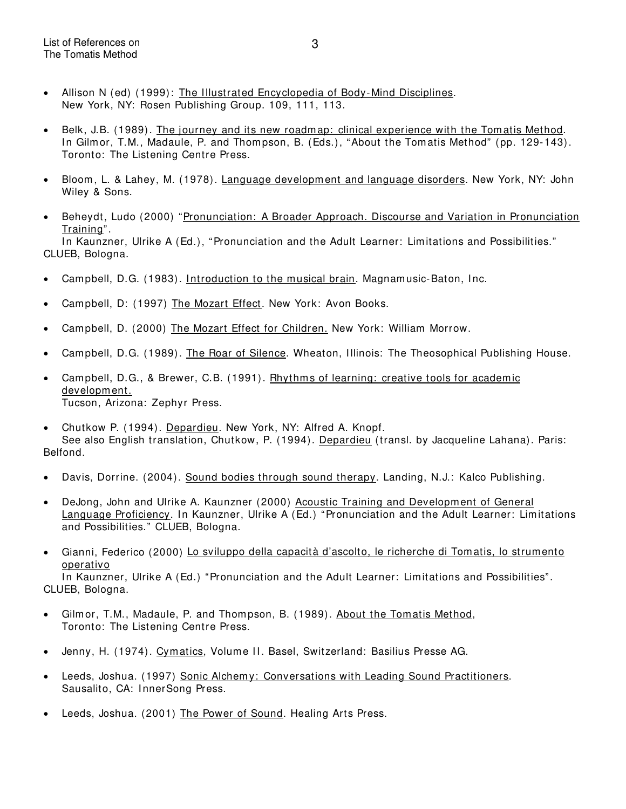- Allison N (ed) (1999): The Illustrated Encyclopedia of Body-Mind Disciplines. New York, NY: Rosen Publishing Group. 109, 111, 113.
- Belk, J.B. (1989). The journey and its new roadmap: clinical experience with the Tomatis Method. In Gilmor, T.M., Madaule, P. and Thompson, B. (Eds.), "About the Tomatis Method" (pp. 129-143). Toronto: The Listening Centre Press.
- Bloom, L. & Lahey, M. (1978). Language development and language disorders. New York, NY: John Wiley & Sons.
- Beheydt, Ludo (2000) "Pronunciation: A Broader Approach. Discourse and Variation in Pronunciation Training".

In Kaunzner, Ulrike A (Ed.), "Pronunciation and the Adult Learner: Limitations and Possibilities." CLUEB, Bologna.

- Campbell, D.G. (1983). Introduction to the musical brain. Magnamusic-Baton, Inc.
- Campbell, D: (1997) The Mozart Effect. New York: Avon Books.
- Campbell, D. (2000) The Mozart Effect for Children. New York: William Morrow.
- Campbell, D.G. (1989). The Roar of Silence. Wheaton, Illinois: The Theosophical Publishing House.
- Campbell, D.G., & Brewer, C.B. (1991). Rhythms of learning: creative tools for academic development. Tucson, Arizona: Zephyr Press.
- Chutkow P. (1994). Depardieu. New York, NY: Alfred A. Knopf. See also English translation, Chutkow, P. (1994). Depardieu (transl. by Jacqueline Lahana). Paris: Belfond.
- Davis, Dorrine. (2004). Sound bodies through sound therapy. Landing, N.J.: Kalco Publishing.
- DeJong, John and Ulrike A. Kaunzner (2000) Acoustic Training and Development of General Language Proficiency. In Kaunzner, Ulrike A (Ed.) "Pronunciation and the Adult Learner: Limitations and Possibilities." CLUEB, Bologna.
- Gianni, Federico (2000) Lo sviluppo della capacità d'ascolto, le richerche di Tomatis, lo strumento operativo In Kaunzner, Ulrike A (Ed.) "Pronunciation and the Adult Learner: Limitations and Possibilities".

CLUEB, Bologna.

- Gilm or, T.M., Madaule, P. and Thompson, B. (1989). About the Tom atis Method, Toronto: The Listening Centre Press.
- Jenny, H. (1974). Cymatics, Volume II. Basel, Switzerland: Basilius Presse AG.
- Leeds, Joshua. (1997) Sonic Alchemy: Conversations with Leading Sound Practitioners. Sausalito, CA: InnerSong Press.
- Leeds, Joshua. (2001) The Power of Sound. Healing Arts Press.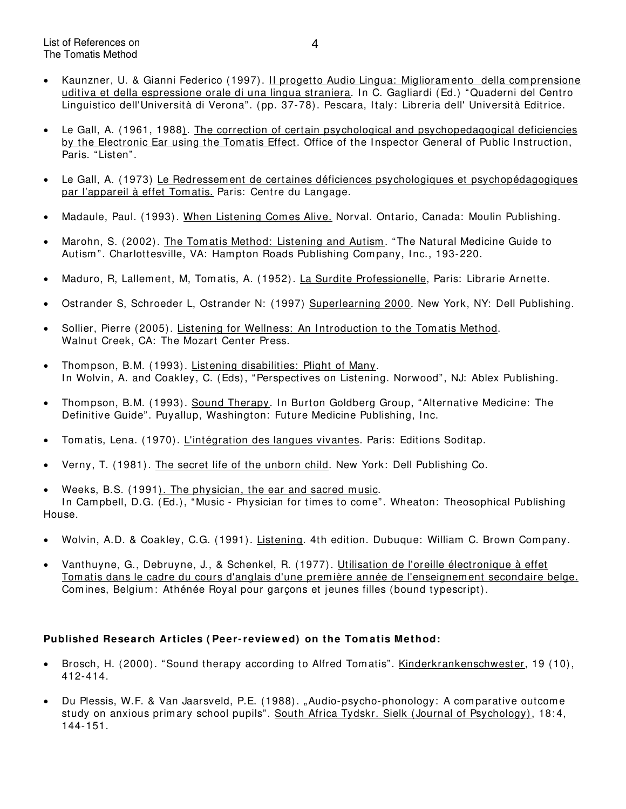- Kaunzner, U. & Gianni Federico (1997). I l progetto Audio Lingua: Miglioram ento della com prensione uditiva et della espressione orale di una lingua straniera. In C. Gagliardi (Ed.) "Quaderni del Centro Linguistico dell'Università di Verona". (pp. 37-78). Pescara, I taly: Libreria dell' Università Editrice.
- Le Gall, A. (1961, 1988). The correction of certain psychological and psychopedagogical deficiencies by the Electronic Ear using the Tomatis Effect. Office of the Inspector General of Public Instruction, Paris. "Listen".
- Le Gall, A. (1973) Le Redressem ent de certaines déficiences psychologiques et psychopédagogiques par l'appareil à effet Tomatis. Paris: Centre du Langage.
- Madaule, Paul. (1993). When Listening Comes Alive. Norval. Ontario, Canada: Moulin Publishing.
- Marohn, S. (2002). The Tomatis Method: Listening and Autism. "The Natural Medicine Guide to Autism ". Charlottesville, VA: Ham pton Roads Publishing Company, I nc., 193-220.
- Maduro, R, Lallement, M, Tomatis, A. (1952). La Surdite Professionelle, Paris: Librarie Arnette.
- Ostrander S, Schroeder L, Ostrander N: (1997) Superlearning 2000. New York, NY: Dell Publishing.
- Sollier, Pierre (2005). Listening for Wellness: An Introduction to the Tomatis Method. Walnut Creek, CA: The Mozart Center Press.
- Thom pson, B.M. (1993). Listening disabilities: Plight of Many. In Wolvin, A. and Coakley, C. (Eds), "Perspectives on Listening. Norwood", NJ: Ablex Publishing.
- Thompson, B.M. (1993). Sound Therapy. In Burton Goldberg Group, "Alternative Medicine: The Definitive Guide". Puyallup, Washington: Future Medicine Publishing, Inc.
- Tom atis, Lena. (1970). L'intégration des langues vivantes. Paris: Editions Soditap.
- Verny, T. (1981). The secret life of the unborn child. New York: Dell Publishing Co.
- Weeks, B.S. (1991). The physician, the ear and sacred music. In Campbell, D.G. (Ed.), "Music - Physician for times to come". Wheaton: Theosophical Publishing House.
- Wolvin, A.D. & Coakley, C.G. (1991). Listening. 4th edition. Dubuque: William C. Brown Company.
- Vanthuyne, G., Debruyne, J., & Schenkel, R. (1977). Utilisation de l'oreille électronique à effet Tom atis dans le cadre du cours d'anglais d'une première année de l'enseignement secondaire belge. Comines, Belgium: Athénée Royal pour garçons et jeunes filles (bound typescript).

### **Published Research Articles ( Peer- review ed) on the Tom atis Method:**

- Brosch, H. (2000). "Sound therapy according to Alfred Tom atis". Kinderkrankenschwester, 19 (10), 412-414.
- Du Plessis, W.F. & Van Jaarsveld, P.E. (1988). "Audio-psycho-phonology: A comparative outcome study on anxious primary school pupils". South Africa Tydskr. Sielk (Journal of Psychology), 18:4, 144-151.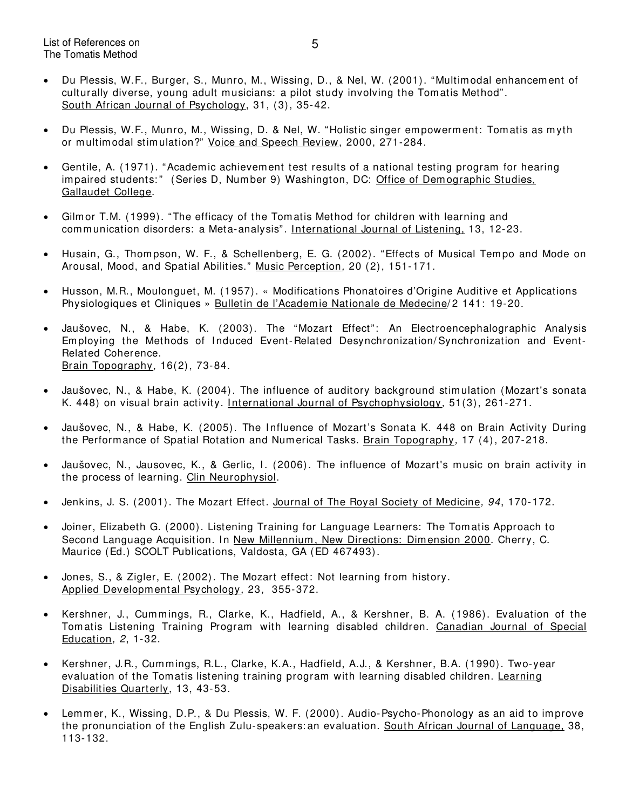- Du Plessis, W.F., Burger, S., Munro, M., Wissing, D., & Nel, W. (2001). "Multimodal enhancement of culturally diverse, young adult musicians: a pilot study involving the Tomatis Method". South African Journal of Psychology, 31, (3), 35-42.
- Du Plessis, W.F., Munro, M., Wissing, D. & Nel, W. "Holistic singer empowerment: Tomatis as myth or multimodal stimulation?" Voice and Speech Review, 2000, 271-284.
- Gentile, A. (1971). "Academ ic achievement test results of a national testing program for hearing impaired students:" (Series D, Number 9) Washington, DC: Office of Demographic Studies. Gallaudet College.
- Gilm or T.M. (1999). "The efficacy of the Tom atis Method for children with learning and communication disorders: a Meta-analysis". I nternational Journal of Listening, 13, 12-23.
- Husain, G., Thom pson, W. F., & Schellenberg, E. G. (2002). "Effects of Musical Tempo and Mode on Arousal, Mood, and Spatial Abilities." Music Perception, 20 (2), 151-171.
- Husson, M.R., Moulonguet, M. (1957). « Modifications Phonatoires d'Origine Auditive et Applications Physiologiques et Cliniques » Bulletin de l'Academie Nationale de Medecine/2 141: 19-20.
- Jaušovec, N., & Habe, K. (2003). The "Mozart Effect": An Electroencephalographic Analysis Em ploying the Methods of Induced Event-Related Desynchronization/ Synchronization and Event-Related Coherence. Brain Topography, 16(2), 73-84.
- Jaušovec, N., & Habe, K. (2004). The influence of auditory background stim ulation (Mozart's sonata K. 448) on visual brain activity. International Journal of Psychophysiology, 51(3), 261-271.
- Jaušovec, N., & Habe, K. (2005). The Influence of Mozart's Sonata K. 448 on Brain Activity During the Performance of Spatial Rotation and Num erical Tasks. Brain Topography, 17 (4), 207-218.
- Jaušovec, N., Jausovec, K., & Gerlic, I. (2006). The influence of Mozart's music on brain activity in the process of learning. Clin Neurophysiol.
- Jenkins, J. S. (2001). The Mozart Effect. Journal of The Royal Society of Medicine, 94, 170-172.
- Joiner, Elizabeth G. (2000). Listening Training for Language Learners: The Tom atis Approach to Second Language Acquisition. In New Millennium, New Directions: Dimension 2000. Cherry, C. Maurice (Ed.) SCOLT Publications, Valdosta, GA (ED 467493).
- Jones, S., & Zigler, E. (2002). The Mozart effect: Not learning from history. Applied Developmental Psychology, 23, 355-372.
- Kershner, J., Cummings, R., Clarke, K., Hadfield, A., & Kershner, B. A. (1986). Evaluation of the Tom atis Listening Training Program with learning disabled children. Canadian Journal of Special Education, 2, 1-32.
- Kershner, J.R., Cummings, R.L., Clarke, K.A., Hadfield, A.J., & Kershner, B.A. (1990). Two-year evaluation of the Tom atis listening training program with learning disabled children. Learning Disabilities Quarterly, 13, 43-53.
- Lemmer, K., Wissing, D.P., & Du Plessis, W. F. (2000). Audio-Psycho-Phonology as an aid to im prove the pronunciation of the English Zulu-speakers: an evaluation. South African Journal of Language, 38, 113-132.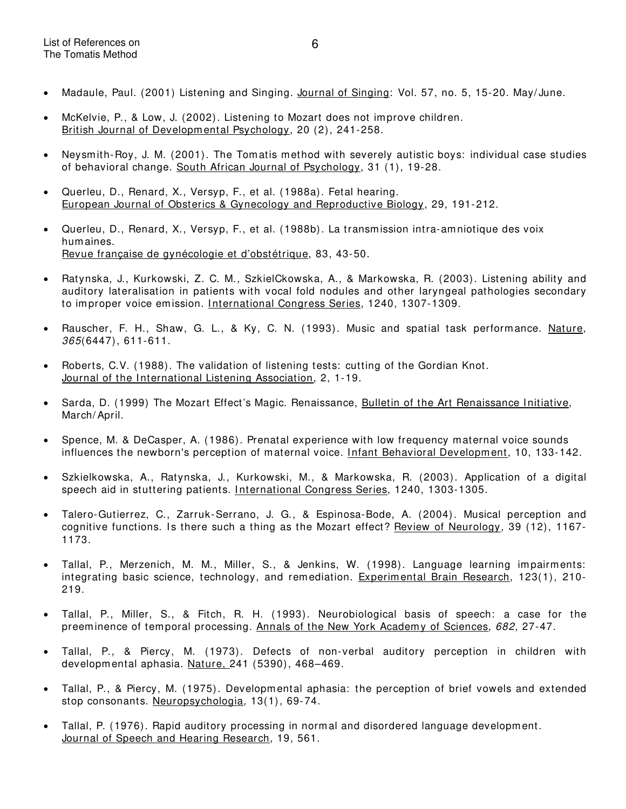- Madaule, Paul. (2001) Listening and Singing. Journal of Singing: Vol. 57, no. 5, 15-20. May/June.
- McKelvie, P., & Low, J. (2002). Listening to Mozart does not improve children. British Journal of Developmental Psychology, 20 (2), 241-258.
- Neysm ith-Roy, J. M. (2001). The Tom atis method with severely autistic boys: individual case studies of behavioral change. South African Journal of Psychology, 31 (1), 19-28.
- Querleu, D., Renard, X., Versyp, F., et al. (1988a). Fetal hearing. European Journal of Obsterics & Gynecology and Reproductive Biology, 29, 191-212.
- Querleu, D., Renard, X., Versyp, F., et al. (1988b). La transmission intra-amniotique des voix hum aines. Revue française de gynécologie et d'obstétrique, 83, 43-50.
- Ratynska, J., Kurkowski, Z. C. M., SzkielCkowska, A., & Markowska, R. (2003). Listening ability and auditory lateralisation in patients with vocal fold nodules and other laryngeal pathologies secondary to improper voice emission. International Congress Series, 1240, 1307-1309.
- Rauscher, F. H., Shaw, G. L., & Ky, C. N. (1993). Music and spatial task performance. Nature, 365(6447), 611-611.
- Roberts, C.V. (1988). The validation of listening tests: cutting of the Gordian Knot. Journal of the International Listening Association, 2, 1-19.
- Sarda, D. (1999) The Mozart Effect's Magic. Renaissance, Bulletin of the Art Renaissance Initiative, March/ April.
- Spence, M. & DeCasper, A. (1986). Prenatal experience with low frequency maternal voice sounds influences the newborn's perception of maternal voice. *Infant Behavioral Development*, 10, 133-142.
- Szkielkowska, A., Ratynska, J., Kurkowski, M., & Markowska, R. (2003). Application of a digital speech aid in stuttering patients. I nternational Congress Series, 1240, 1303-1305.
- Talero-Gutierrez, C., Zarruk-Serrano, J. G., & Espinosa-Bode, A. (2004). Musical perception and cognitive functions. Is there such a thing as the Mozart effect? Review of Neurology, 39 (12), 1167-1173.
- Tallal, P., Merzenich, M. M., Miller, S., & Jenkins, W. (1998). Language learning impairments: integrating basic science, technology, and remediation. Experimental Brain Research, 123(1), 210-219.
- Tallal, P., Miller, S., & Fitch, R. H. (1993). Neurobiological basis of speech: a case for the preeminence of temporal processing. Annals of the New York Academy of Sciences, 682, 27-47.
- Tallal, P., & Piercy, M. (1973). Defects of non-verbal auditory perception in children with developmental aphasia. Nature, 241 (5390), 468–469.
- Tallal, P., & Piercy, M. (1975). Developmental aphasia: the perception of brief vowels and extended stop consonants. Neuropsychologia, 13(1), 69-74.
- Tallal, P. (1976). Rapid auditory processing in normal and disordered language development. Journal of Speech and Hearing Research, 19, 561.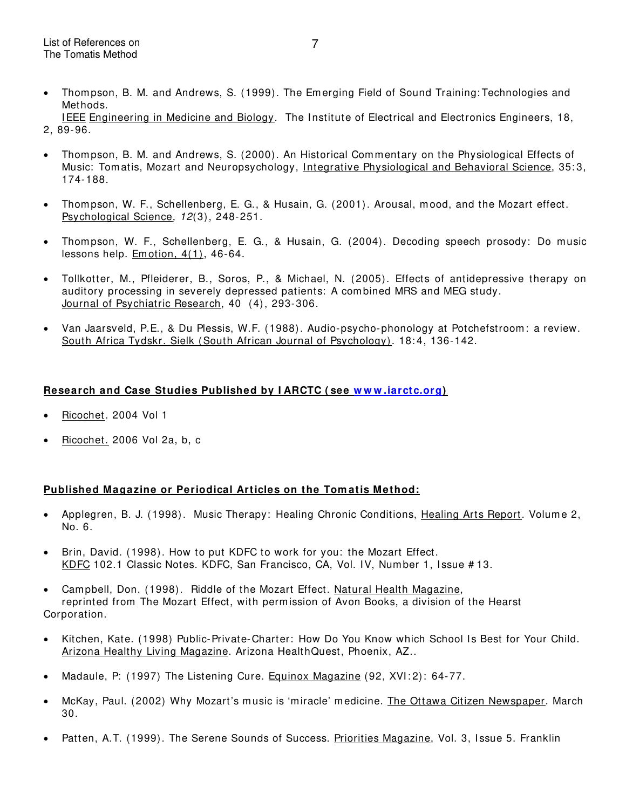• Thom pson, B. M. and Andrews, S. (1999). The Em erging Field of Sound Training: Technologies and Methods. IEEE Engineering in Medicine and Biology. The Institute of Electrical and Electronics Engineers, 18,

2, 89-96.

- Thom pson, B. M. and Andrews, S. (2000). An Historical Commentary on the Physiological Effects of Music: Tom atis, Mozart and Neuropsychology, I ntegrative Physiological and Behavioral Science, 35: 3, 174-188.
- Thom pson, W. F., Schellenberg, E. G., & Husain, G. (2001). Arousal, m ood, and the Mozart effect. Psychological Science, 12(3), 248-251.
- Thom pson, W. F., Schellenberg, E. G., & Husain, G. (2004). Decoding speech prosody: Do music lessons help. Em otion, 4(1), 46-64.
- Tollkotter, M., Pfleiderer, B., Soros, P., & Michael, N. (2005). Effects of antidepressive therapy on auditory processing in severely depressed patients: A com bined MRS and MEG study. Journal of Psychiatric Research, 40 (4), 293-306.
- Van Jaarsveld, P.E., & Du Plessis, W.F. (1988). Audio-psycho-phonology at Potchefstroom : a review. South Africa Tydskr. Sielk (South African Journal of Psychology). 18:4, 136-142.

### **Research and Case Studies Published by I ARCTC ( see [w w w .iarctc.org\)](http://www.iarctc.org/)**

- Ricochet. 2004 Vol 1
- Ricochet. 2006 Vol 2a, b, c

### **Published Magazine or Periodical Articles on the Tom atis Method:**

- Applegren, B. J. (1998). Music Therapy: Healing Chronic Conditions, Healing Arts Report. Volume 2, No. 6.
- Brin, David. (1998). How to put KDFC to work for you: the Mozart Effect. KDFC 102.1 Classic Notes. KDFC, San Francisco, CA, Vol. IV, Number 1, Issue #13.
- Campbell, Don. (1998). Riddle of the Mozart Effect. Natural Health Magazine, reprinted from The Mozart Effect, with perm ission of Avon Books, a division of the Hearst Corporation.
- Kitchen, Kate. (1998) Public-Private-Charter: How Do You Know which School Is Best for Your Child. Arizona Healthy Living Magazine. Arizona HealthQuest, Phoenix, AZ..
- Madaule, P: (1997) The Listening Cure. Equinox Magazine (92, XVI:2): 64-77.
- McKay, Paul. (2002) Why Mozart's music is 'miracle' medicine. The Ottawa Citizen Newspaper. March 30.
- Patten, A.T. (1999). The Serene Sounds of Success. Priorities Magazine, Vol. 3, Issue 5. Franklin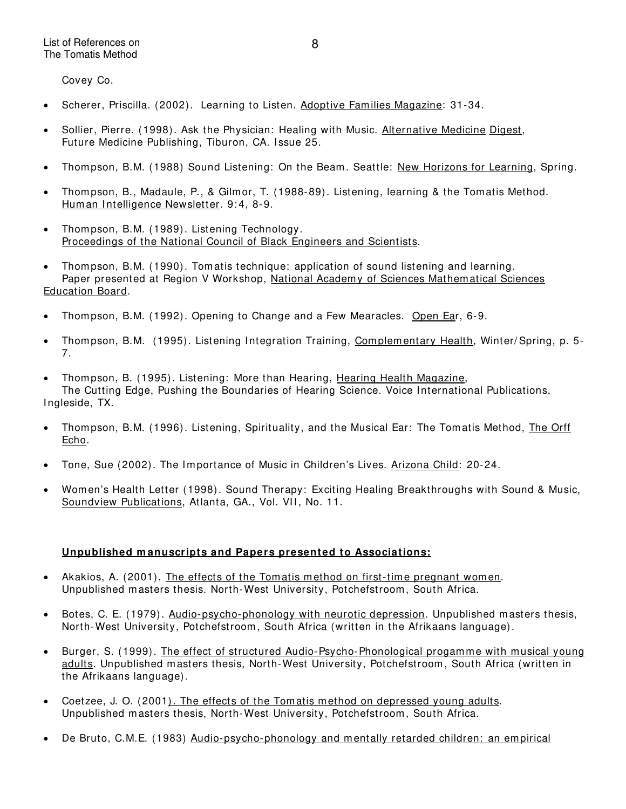Covey Co.

- Scherer, Priscilla. (2002). Learning to Listen. Adoptive Fam ilies Magazine: 31-34.
- Sollier, Pierre. (1998). Ask the Physician: Healing with Music. Alternative Medicine Digest, Future Medicine Publishing, Tiburon, CA. Issue 25.
- Thom pson, B.M. (1988) Sound Listening: On the Beam . Seattle: New Horizons for Learning, Spring.
- Thom pson, B., Madaule, P., & Gilmor, T. (1988-89). Listening, learning & the Tom atis Method. Human Intelligence Newsletter. 9:4, 8-9.
- Thompson, B.M. (1989). Listening Technology. Proceedings of the National Council of Black Engineers and Scientists.
- Thom pson, B.M. (1990). Tom atis technique: application of sound listening and learning. Paper presented at Region V Workshop, National Academy of Sciences Mathematical Sciences Education Board.
- Thom pson, B.M. (1992). Opening to Change and a Few Mearacles. Open Ear, 6-9.
- Thompson, B.M. (1995). Listening Integration Training, Complementary Health, Winter/Spring, p. 5-7.
- Thom pson, B. (1995). Listening: More than Hearing, Hearing Health Magazine, The Cutting Edge, Pushing the Boundaries of Hearing Science. Voice I nternational Publications, Ingleside, TX.
- Thom pson, B.M. (1996). Listening, Spirituality, and the Musical Ear: The Tom atis Method, The Orff Echo.
- Tone, Sue (2002). The Importance of Music in Children's Lives. Arizona Child: 20-24.
- Wom en's Health Letter (1998). Sound Therapy: Exciting Healing Breakthroughs with Sound & Music, Soundview Publications, Atlanta, GA., Vol. VII, No. 11.

# **Unpublished m anuscripts and Papers presented to Associations:**

- Akakios, A. (2001). The effects of the Tomatis method on first-time pregnant women. Unpublished masters thesis. North-West University, Potchefstroom , South Africa.
- Botes, C. E. (1979). Audio-psycho-phonology with neurotic depression. Unpublished masters thesis, North-West University, Potchefstroom , South Africa (written in the Afrikaans language).
- Burger, S. (1999). The effect of structured Audio-Psycho-Phonological progamme with musical young adults. Unpublished masters thesis, North-West University, Potchefstroom , South Africa (written in the Afrikaans language).
- Coetzee, J. O. (2001). The effects of the Tomatis method on depressed young adults. Unpublished masters thesis, North-West University, Potchefstroom, South Africa.
- De Bruto, C.M.E. (1983) Audio-psycho-phonology and mentally retarded children: an empirical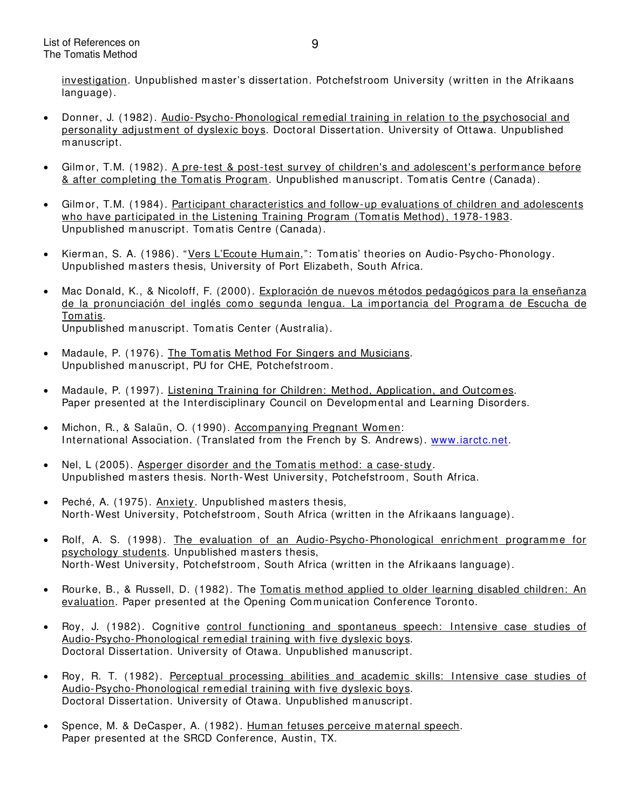investigation. Unpublished master's dissertation. Potchefstroom University (written in the Afrikaans language).

- Donner, J. (1982). Audio-Psycho-Phonological remedial training in relation to the psychosocial and personality adjustment of dyslexic boys. Doctoral Dissertation. University of Ottawa. Unpublished manuscript.
- Gilm or, T.M. (1982). A pre-test & post-test survey of children's and adolescent's performance before & after completing the Tomatis Program. Unpublished manuscript. Tomatis Centre (Canada).
- Gilm or, T.M. (1984). Participant characteristics and follow-up evaluations of children and adolescents who have participated in the Listening Training Program (Tomatis Method), 1978-1983. Unpublished manuscript. Tomatis Centre (Canada).
- Kierman, S. A. (1986). "Vers L'Ecoute Humain,": Tom atis' theories on Audio-Psycho-Phonology. Unpublished masters thesis, University of Port Elizabeth, South Africa.
- Mac Donald, K., & Nicoloff, F. (2000). Exploración de nuevos métodos pedagógicos para la enseñanza de la pronunciación del inglés como segunda lengua. La importancia del Programa de Escucha de Tom atis. Unpublished m anuscript. Tom atis Center (Australia).
- Madaule, P. (1976). The Tomatis Method For Singers and Musicians. Unpublished m anuscript, PU for CHE, Potchefstroom .
- Madaule, P. (1997). Listening Training for Children: Method, Application, and Outcomes. Paper presented at the Interdisciplinary Council on Developmental and Learning Disorders.
- Michon, R., & Salaün, O. (1990). Accompanying Pregnant Women: International Association. (Translated from the French by S. Andrews). [www.iarctc.net](http://www.iarctc.net/).
- Nel, L (2005). Asperger disorder and the Tomatis method: a case-study. Unpublished masters thesis. North-West University, Potchefstroom, South Africa.
- Peché, A. (1975). Anxiety. Unpublished m asters thesis, North-West University, Potchefstroom , South Africa (written in the Afrikaans language).
- Rolf, A. S. (1998). The evaluation of an Audio-Psycho-Phonological enrichment programme for psychology students. Unpublished masters thesis, North-West University, Potchefstroom , South Africa (written in the Afrikaans language).
- Rourke, B., & Russell, D. (1982). The Tomatis method applied to older learning disabled children: An evaluation. Paper presented at the Opening Communication Conference Toronto.
- Roy, J. (1982). Cognitive control functioning and spontaneus speech: Intensive case studies of Audio-Psycho-Phonological rem edial training with five dyslexic boys. Doctoral Dissertation. University of Otawa. Unpublished manuscript.
- Roy, R. T. (1982). Perceptual processing abilities and academic skills: I ntensive case studies of Audio-Psycho-Phonological rem edial training with five dyslexic boys. Doctoral Dissertation. University of Otawa. Unpublished manuscript.
- Spence, M. & DeCasper, A. (1982). Hum an fetuses perceive maternal speech. Paper presented at the SRCD Conference, Austin, TX.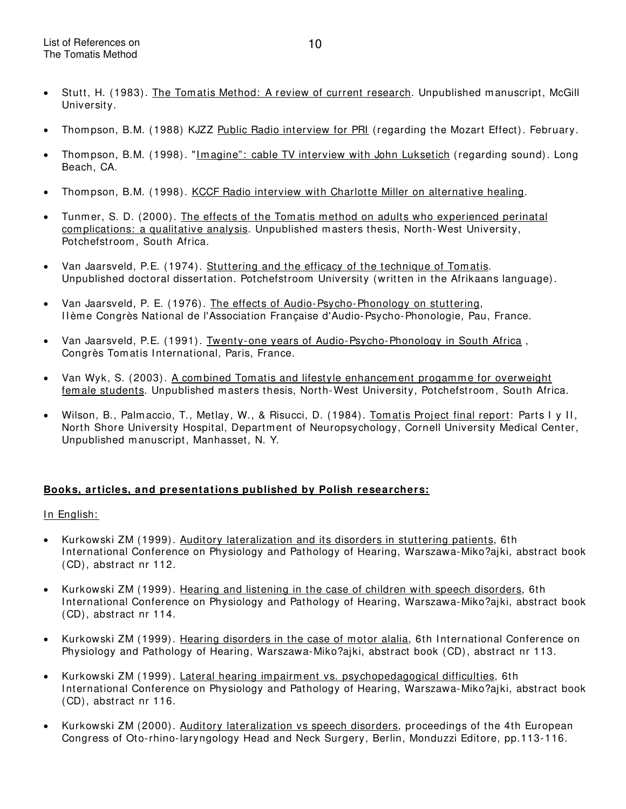- Stutt, H. (1983). The Tomatis Method: A review of current research. Unpublished manuscript, McGill University.
- Thom pson, B.M. (1988) KJZZ Public Radio interview for PRI (regarding the Mozart Effect). February.
- Thompson, B.M. (1998). "Imagine": cable TV interview with John Luksetich (regarding sound). Long Beach, CA.
- Thom pson, B.M. (1998). KCCF Radio interview with Charlotte Miller on alternative healing.
- Tunmer, S. D. (2000). The effects of the Tomatis method on adults who experienced perinatal complications: a qualitative analysis. Unpublished masters thesis, North-West University, Potchefstroom , South Africa.
- Van Jaarsveld, P.E. (1974). Stuttering and the efficacy of the technique of Tom atis. Unpublished doctoral dissertation. Potchefstroom University (written in the Afrikaans language).
- Van Jaarsveld, P. E. (1976). The effects of Audio-Psycho-Phonology on stuttering, I I ème Congrès National de l'Association Française d'Audio-Psycho-Phonologie, Pau, France.
- Van Jaarsveld, P.E. (1991). Twenty-one years of Audio-Psycho-Phonology in South Africa, Congrès Tom atis I nternational, Paris, France.
- Van Wyk, S. (2003). A com bined Tom atis and lifestyle enhancem ent progam m e for overweight fem ale students. Unpublished masters thesis, North-West University, Potchefstroom, South Africa.
- Wilson, B., Palm accio, T., Metlay, W., & Risucci, D. (1984). Tomatis Project final report: Parts I y II, North Shore University Hospital, Department of Neuropsychology, Cornell University Medical Center, Unpublished m anuscript, Manhasset, N. Y.

### **Books, articles, and presentations published by Polish researchers:**

### In English:

- Kurkowski ZM (1999). Auditory lateralization and its disorders in stuttering patients, 6th I nternational Conference on Physiology and Pathology of Hearing, Warszawa-Miko?ajki, abstract book (CD), abstract nr 112.
- Kurkowski ZM (1999). Hearing and listening in the case of children with speech disorders, 6th I nternational Conference on Physiology and Pathology of Hearing, Warszawa-Miko?ajki, abstract book (CD), abstract nr 114.
- Kurkowski ZM (1999). Hearing disorders in the case of motor alalia, 6th International Conference on Physiology and Pathology of Hearing, Warszawa-Miko?ajki, abstract book (CD), abstract nr 113.
- Kurkowski ZM (1999). Lateral hearing impairment vs. psychopedagogical difficulties, 6th International Conference on Physiology and Pathology of Hearing, Warszawa-Miko?ajki, abstract book (CD), abstract nr 116.
- Kurkowski ZM (2000). Auditory lateralization vs speech disorders, proceedings of the 4th European Congress of Oto-rhino-laryngology Head and Neck Surgery, Berlin, Monduzzi Editore, pp.113-116.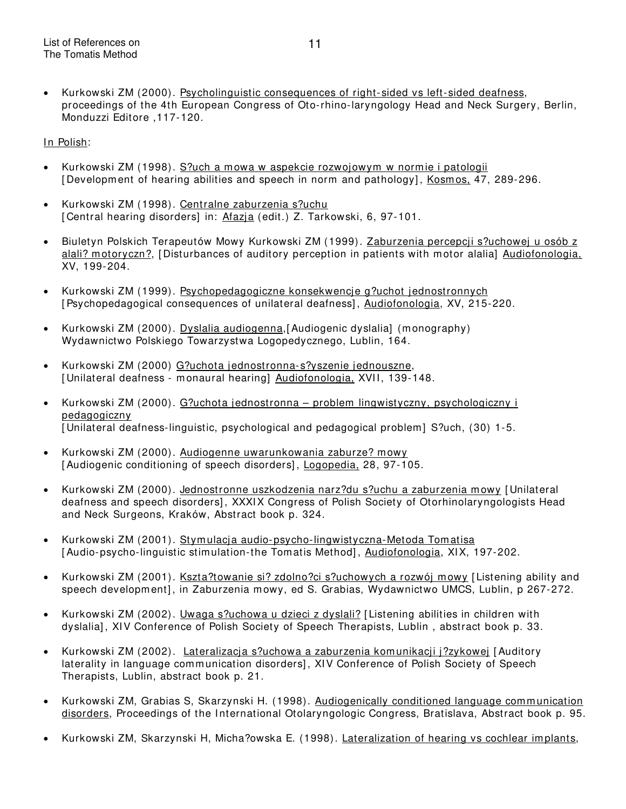• Kurkowski ZM (2000). Psycholinguistic consequences of right-sided vs left-sided deafness, proceedings of the 4th European Congress of Oto-rhino-laryngology Head and Neck Surgery, Berlin, Monduzzi Editore ,117-120.

In Polish:

- Kurkowski ZM (1998). S?uch a m owa w aspekcie rozwojowym w normie i patologii [Development of hearing abilities and speech in norm and pathology], Kosmos, 47, 289-296.
- Kurkowski ZM (1998). Centralne zaburzenia s?uchu [ Central hearing disorders] in: Afazia (edit.) Z. Tarkowski, 6, 97-101.
- Biuletyn Polskich Terapeutów Mowy Kurkowski ZM (1999). Zaburzenia percepcji s?uchowej u osób z alali? motoryczn?, [ Disturbances of auditory perception in patients with m otor alalia] Audiofonologia, XV, 199-204.
- Kurkowski ZM (1999). Psychopedagogiczne konsekwencje g?uchot jednostronnych [Psychopedagogical consequences of unilateral deafness], Audiofonologia, XV, 215-220.
- Kurkowski ZM (2000). Dyslalia audiogenna, [Audiogenic dyslalia] (monography) Wydawnictwo Polskiego Towarzystwa Logopedycznego, Lublin, 164.
- Kurkowski ZM (2000) G?uchota jednostronna-s?yszenie jednouszne, [Unilateral deafness - monaural hearing] Audiofonologia, XVII, 139-148.
- Kurkowski ZM (2000). G?uchota jednostronna problem lingwistyczny, psychologiczny i pedagogiczny [ Unilateral deafness-linguistic, psychological and pedagogical problem] S?uch, (30) 1-5.
- Kurkowski ZM (2000). Audiogenne uwarunkowania zaburze? mowy [Audiogenic conditioning of speech disorders], Logopedia, 28, 97-105.
- Kurkowski ZM (2000). Jednostronne uszkodzenia narz?du s?uchu a zaburzenia mowy [ Unilateral deafness and speech disorders] , XXXI X Congress of Polish Society of Otorhinolaryngologists Head and Neck Surgeons, Kraków, Abstract book p. 324.
- Kurkowski ZM (2001). Stymulacja audio-psycho-lingwistyczna-Metoda Tomatisa [Audio-psycho-linguistic stimulation-the Tomatis Method], Audiofonologia, XIX, 197-202.
- Kurkowski ZM (2001). Kszta?towanie si? zdolno?ci s?uchowych a rozwój mowy [Listening ability and speech development], in Zaburzenia mowy, ed S. Grabias, Wydawnictwo UMCS, Lublin, p 267-272.
- Kurkowski ZM (2002). Uwaga s?uchowa u dzieci z dyslali? [ Listening abilities in children with dyslalia], XIV Conference of Polish Society of Speech Therapists, Lublin, abstract book p. 33.
- Kurkowski ZM (2002). Lateralizacja s?uchowa a zaburzenia komunikacji j?zykowej [Auditory laterality in language communication disorders], XIV Conference of Polish Society of Speech Therapists, Lublin, abstract book p. 21.
- Kurkowski ZM, Grabias S, Skarzynski H. (1998). Audiogenically conditioned language communication disorders, Proceedings of the International Otolaryngologic Congress, Bratislava, Abstract book p. 95.
- Kurkowski ZM, Skarzynski H, Micha?owska E. (1998). Lateralization of hearing vs cochlear implants,